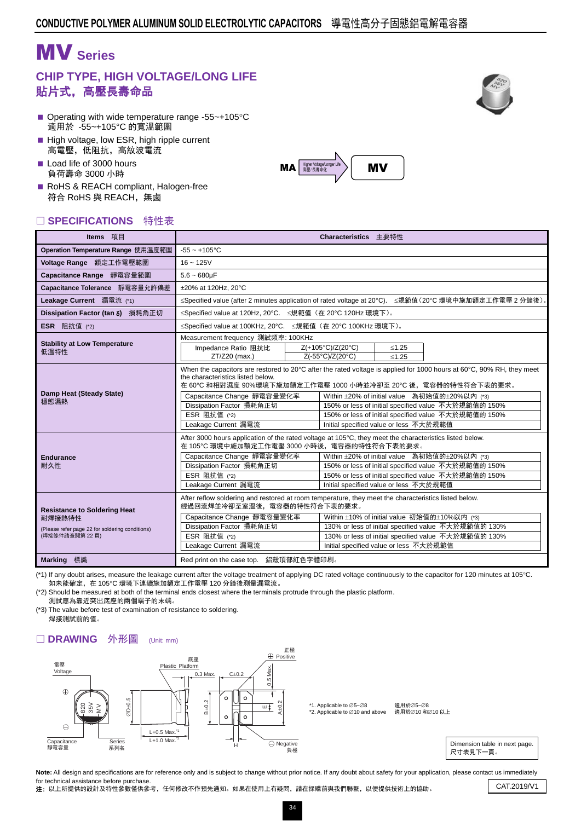# MV **Series**

### **CHIP TYPE, HIGH VOLTAGE/LONG LIFE** 貼片式,高壓長壽命品

- Operating with wide temperature range -55 $\sim$ +105 $\degree$ C 適用於 -55~+105°C 的寬溫範圍
- High voltage, low ESR, high ripple current 高電壓,低阻抗,高紋波電流
- Load life of 3000 hours 負荷壽命 3000 小時
- RoHS & REACH compliant, Halogen-free 符合 RoHS 與 REACH,無鹵

#### □ SPECIFICATIONS 特性表

| Operation Temperature Range 使用温度範圍<br>$-55 - +105$ °C<br>Voltage Range 額定工作電壓範圍<br>$16 - 125V$<br>Capacitance Range 靜電容量範圍<br>$5.6 - 680$ uF<br>Capacitance Tolerance 靜電容量允許偏差<br>±20% at 120Hz. 20°C<br>Leakage Current 漏電流 (*1)<br>≤Specified value at 120Hz, 20°C. ≤規範值 (在 20°C 120Hz 環境下)。<br>Dissipation Factor (tan δ) 損耗角正切<br>≤Specified value at 100KHz, 20°C. ≤規範值 (在 20°C 100KHz 環境下)。<br><b>ESR</b> 阻抗值 (*2)<br>Measurement frequency 測試頻率: 100KHz<br><b>Stability at Low Temperature</b><br>Z(+105°C)/Z(20°C)<br>Impedance Ratio 阻抗比<br>$≤1.25$<br>低溫特性<br>Z(-55°C)/Z(20°C)<br>ZT/Z20 (max.)<br>$≤1.25$<br>the characteristics listed below.<br>在 60℃ 和相對濕度 90%環境下施加額定工作電壓 1000 小時並冷卻至 20℃ 後,電容器的特性符合下表的要求。<br>Damp Heat (Steady State)<br>Capacitance Change 靜電容量變化率<br>Within ±20% of initial value 為初始值的±20%以內 (*3)<br>穩態濕熱 | Items 項目 | Characteristics 主要特性                                                                                                                                                                                      |  |  |  |  |  |  |  |  |  |
|---------------------------------------------------------------------------------------------------------------------------------------------------------------------------------------------------------------------------------------------------------------------------------------------------------------------------------------------------------------------------------------------------------------------------------------------------------------------------------------------------------------------------------------------------------------------------------------------------------------------------------------------------------------------------------------------------------------------------------------------------------------------------------------------------------------------------------------------|----------|-----------------------------------------------------------------------------------------------------------------------------------------------------------------------------------------------------------|--|--|--|--|--|--|--|--|--|
|                                                                                                                                                                                                                                                                                                                                                                                                                                                                                                                                                                                                                                                                                                                                                                                                                                             |          |                                                                                                                                                                                                           |  |  |  |  |  |  |  |  |  |
|                                                                                                                                                                                                                                                                                                                                                                                                                                                                                                                                                                                                                                                                                                                                                                                                                                             |          |                                                                                                                                                                                                           |  |  |  |  |  |  |  |  |  |
|                                                                                                                                                                                                                                                                                                                                                                                                                                                                                                                                                                                                                                                                                                                                                                                                                                             |          |                                                                                                                                                                                                           |  |  |  |  |  |  |  |  |  |
|                                                                                                                                                                                                                                                                                                                                                                                                                                                                                                                                                                                                                                                                                                                                                                                                                                             |          |                                                                                                                                                                                                           |  |  |  |  |  |  |  |  |  |
|                                                                                                                                                                                                                                                                                                                                                                                                                                                                                                                                                                                                                                                                                                                                                                                                                                             |          | ≤Specified value (after 2 minutes application of rated voltage at 20°C). ≤規範值(20°C 環境中施加額定工作電壓 2 分鐘後)。                                                                                                    |  |  |  |  |  |  |  |  |  |
|                                                                                                                                                                                                                                                                                                                                                                                                                                                                                                                                                                                                                                                                                                                                                                                                                                             |          |                                                                                                                                                                                                           |  |  |  |  |  |  |  |  |  |
|                                                                                                                                                                                                                                                                                                                                                                                                                                                                                                                                                                                                                                                                                                                                                                                                                                             |          |                                                                                                                                                                                                           |  |  |  |  |  |  |  |  |  |
|                                                                                                                                                                                                                                                                                                                                                                                                                                                                                                                                                                                                                                                                                                                                                                                                                                             |          |                                                                                                                                                                                                           |  |  |  |  |  |  |  |  |  |
| ESR 阻抗值 (*2)<br>150% or less of initial specified value 不大於規範值的 150%<br>Leakage Current 漏電流<br>Initial specified value or less 不大於規範值                                                                                                                                                                                                                                                                                                                                                                                                                                                                                                                                                                                                                                                                                                       |          | When the capacitors are restored to 20°C after the rated voltage is applied for 1000 hours at 60°C, 90% RH, they meet<br>Dissipation Factor 損耗角正切<br>150% or less of initial specified value 不大於規範值的 150% |  |  |  |  |  |  |  |  |  |
| After 3000 hours application of the rated voltage at 105°C, they meet the characteristics listed below.<br>在 105℃ 環境中施加額定工作電壓 3000 小時後,電容器的特性符合下表的要求。<br>Within ±20% of initial value 為初始值的±20%以內 (*3)<br>Capacitance Change 靜電容量變化率<br><b>Endurance</b><br>Dissipation Factor 損耗角正切<br>耐久性<br>150% or less of initial specified value 不大於規範值的 150%<br>ESR 阻抗值 (*2)<br>150% or less of initial specified value 不大於規範值的 150%<br>Leakage Current 漏電流<br>Initial specified value or less 不大於規範值                                                                                                                                                                                                                                                                                                                                                |          |                                                                                                                                                                                                           |  |  |  |  |  |  |  |  |  |
| After reflow soldering and restored at room temperature, they meet the characteristics listed below.<br>經過回流焊並冷卻至室溫後,電容器的特性符合下表的要求。<br><b>Resistance to Soldering Heat</b><br>Within ±10% of initial value 初始值的±10%以内 (*3)<br>Capacitance Change 靜電容量變化率<br>耐焊接熱特性<br>Dissipation Factor 損耗角正切<br>130% or less of initial specified value 不大於規範值的 130%<br>(Please refer page 22 for soldering conditions)<br>ESR 阻抗值 (*2)<br>130% or less of initial specified value 不大於規範值的 130%<br>(焊接條件請查閱第22頁)<br>Leakage Current 漏電流<br>Initial specified value or less 不大於規範值<br><b>Marking</b> 標識<br>Red print on the case top. 鋁殼頂部紅色字體印刷。                                                                                                                                                                                                          |          |                                                                                                                                                                                                           |  |  |  |  |  |  |  |  |  |

(\*1) If any doubt arises, measure the leakage current after the voltage treatment of applying DC rated voltage continuously to the capacitor for 120 minutes at 105°C. 如未能確定,在 105℃ 環境下連續施加額定工作電壓 120 分鐘後測量漏電流。

(\*2) Should be measured at both of the terminal ends closest where the terminals protrude through the plastic platform. 測試應為靠近突出底座的兩個端子的末端。

(\*3) The value before test of examination of resistance to soldering. 焊接測試前的值。

#### □ DRAWING 外形圖 (Unit: mm)





MV **MA** Higher Voltage/Longer

Note: All design and specifications are for reference only and is subject to change without prior notice. If any doubt about safety for your application, please contact us immediately for technical assistance before purchase.

Tor technical assistance before purchase.<br>2: 以上所提供的設計及特性參數僅供參考,任何修改不作預先通知。如果在使用上有疑問,請在採購前與我們聯繫,以便提供技術上的協助。 CAT.2019/V1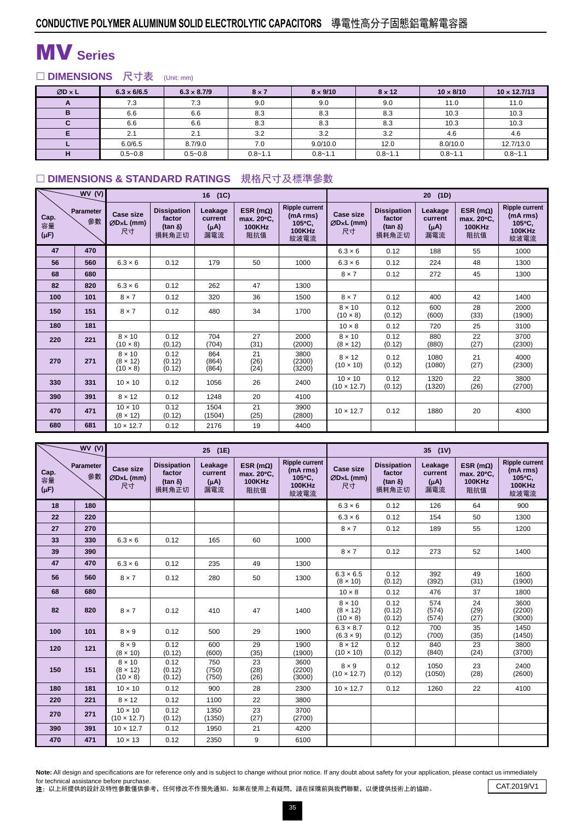# MV **Series**

□ DIMENSIONS 尺寸表 (Unit: mm)

| $ØD \times L$ | $6.3 \times 6/6.5$ | $6.3 \times 8.7/9$ | $8 \times 7$ | $8 \times 9/10$ | $8 \times 12$ | $10 \times 8/10$ | $10 \times 12.7/13$ |
|---------------|--------------------|--------------------|--------------|-----------------|---------------|------------------|---------------------|
| A             | 7.3                | 7.3                | 9.0          | 9.0             | 9.0           | 11.0             | 11.0                |
| B             | 6.6                | 6.6                | 8.3          | 8.3             | 8.3           | 10.3             | 10.3                |
|               | 6.6                | 6.6                | 8.3          | 8.3             | 8.3           | 10.3             | 10.3                |
|               | 2.1                | 2.1                | 3.2          | 3.2             | 3.2           | 4.6              | 4.6                 |
|               | 6.0/6.5            | 8.7/9.0            | 7.0          | 9.0/10.0        | 12.0          | 8.0/10.0         | 12.7/13.0           |
| н             | $0.5 - 0.8$        | $0.5 - 0.8$        | $0.8 - 1.1$  | $0.8 - 1.1$     | $0.8 - 1.1$   | $0.8 - 1.1$      | $0.8 - 1.1$         |

### □ DIMENSIONS & STANDARD RATINGS 規格尺寸及標準參數

|                         | WV(V)                  |                                                     |                                                          | 16<br>(1C)                             |                                                         |                                                                                | 20 <sub>2</sub><br>(1D)              |                                                          |                                        |                                                         |                                                                      |  |  |
|-------------------------|------------------------|-----------------------------------------------------|----------------------------------------------------------|----------------------------------------|---------------------------------------------------------|--------------------------------------------------------------------------------|--------------------------------------|----------------------------------------------------------|----------------------------------------|---------------------------------------------------------|----------------------------------------------------------------------|--|--|
| Cap.<br>容量<br>$(\mu F)$ | <b>Parameter</b><br>參數 | Case size<br>ØD×L (mm)<br>尺寸                        | <b>Dissipation</b><br>factor<br>$(\tan \delta)$<br>損耗角正切 | Leakage<br>current<br>$(\mu A)$<br>漏電流 | ESR ( $m\Omega$ )<br>max. 20°C.<br><b>100KHz</b><br>阻抗值 | <b>Ripple current</b><br>(mA rms)<br>$105^{\circ}$ C,<br><b>100KHz</b><br>紋波電流 | <b>Case size</b><br>ØD×L (mm)<br>尺寸  | <b>Dissipation</b><br>factor<br>$(\tan \delta)$<br>損耗角正切 | Leakage<br>current<br>$(\mu A)$<br>漏電流 | ESR ( $m\Omega$ )<br>max. 20°C.<br><b>100KHz</b><br>阻抗值 | <b>Ripple current</b><br>(mA rms)<br>105°C.<br><b>100KHz</b><br>紋波電流 |  |  |
| 47                      | 470                    |                                                     |                                                          |                                        |                                                         |                                                                                | $6.3 \times 6$                       | 0.12                                                     | 188                                    | 55                                                      | 1000                                                                 |  |  |
| 56                      | 560                    | $6.3 \times 6$                                      | 0.12                                                     | 179                                    | 50                                                      | 1000                                                                           | $6.3 \times 6$                       | 0.12                                                     | 224                                    | 48                                                      | 1300                                                                 |  |  |
| 68                      | 680                    |                                                     |                                                          |                                        |                                                         |                                                                                | $8 \times 7$                         | 0.12                                                     | 272                                    | 45                                                      | 1300                                                                 |  |  |
| 82                      | 820                    | $6.3 \times 6$                                      | 0.12                                                     | 262                                    | 47                                                      | 1300                                                                           |                                      |                                                          |                                        |                                                         |                                                                      |  |  |
| 100                     | 101                    | $8 \times 7$                                        | 0.12                                                     | 320                                    | 36                                                      | 1500                                                                           | $8 \times 7$                         | 0.12                                                     | 400                                    | 42                                                      | 1400                                                                 |  |  |
| 150                     | 151                    | $8 \times 7$                                        | 0.12                                                     | 480                                    | 34                                                      | 1700                                                                           | $8 \times 10$<br>$(10 \times 8)$     | 0.12<br>(0.12)                                           | 600<br>(600)                           | 28<br>(33)                                              | 2000<br>(1900)                                                       |  |  |
| 180                     | 181                    |                                                     |                                                          |                                        |                                                         |                                                                                | $10 \times 8$                        | 0.12                                                     | 720                                    | 25                                                      | 3100                                                                 |  |  |
| 220                     | 221                    | $8 \times 10$<br>$(10 \times 8)$                    | 0.12<br>(0.12)                                           | 704<br>(704)                           | 27<br>(31)                                              | 2000<br>(2000)                                                                 | $8 \times 10$<br>$(8 \times 12)$     | 0.12<br>(0.12)                                           | 880<br>(880)                           | 22<br>(27)                                              | 3700<br>(2300)                                                       |  |  |
| 270                     | 271                    | $8 \times 10$<br>$(8 \times 12)$<br>$(10 \times 8)$ | 0.12<br>(0.12)<br>(0.12)                                 | 864<br>(864)<br>(864)                  | 21<br>(26)<br>(24)                                      | 3800<br>(2300)<br>(3200)                                                       | $8 \times 12$<br>$(10 \times 10)$    | 0.12<br>(0.12)                                           | 1080<br>(1080)                         | 21<br>(27)                                              | 4000<br>(2300)                                                       |  |  |
| 330                     | 331                    | $10 \times 10$                                      | 0.12                                                     | 1056                                   | 26                                                      | 2400                                                                           | $10 \times 10$<br>$(10 \times 12.7)$ | 0.12<br>(0.12)                                           | 1320<br>(1320)                         | 22<br>(26)                                              | 3800<br>(2700)                                                       |  |  |
| 390                     | 391                    | $8 \times 12$                                       | 0.12                                                     | 1248                                   | 20                                                      | 4100                                                                           |                                      |                                                          |                                        |                                                         |                                                                      |  |  |
| 470                     | 471                    | $10 \times 10$<br>$(8 \times 12)$                   | 0.12<br>(0.12)                                           | 1504<br>(1504)                         | 21<br>(25)                                              | 3900<br>(2800)                                                                 | $10 \times 12.7$                     | 0.12                                                     | 1880                                   | 20                                                      | 4300                                                                 |  |  |
| 680                     | 681                    | $10 \times 12.7$                                    | 0.12                                                     | 2176                                   | 19                                                      | 4400                                                                           |                                      |                                                          |                                        |                                                         |                                                                      |  |  |

|                         | WV(V)           |                                                     |                                                          | 25 (1E)                                |                                                         |                                                                      | 35 (1V)                                             |                                                         |                                        |                                                         |                                                                      |
|-------------------------|-----------------|-----------------------------------------------------|----------------------------------------------------------|----------------------------------------|---------------------------------------------------------|----------------------------------------------------------------------|-----------------------------------------------------|---------------------------------------------------------|----------------------------------------|---------------------------------------------------------|----------------------------------------------------------------------|
| Cap.<br>容量<br>$(\mu F)$ | Parameter<br>參數 | <b>Case size</b><br>ØDxL (mm)<br>尺寸                 | <b>Dissipation</b><br>factor<br>$(\tan \delta)$<br>損耗角正切 | Leakage<br>current<br>$(\mu A)$<br>漏電流 | ESR ( $m\Omega$ )<br>max. 20°C.<br><b>100KHz</b><br>阻抗值 | <b>Ripple current</b><br>(mA rms)<br>105°C.<br><b>100KHz</b><br>紋波電流 | <b>Case size</b><br>ØDxL (mm)<br>尺寸                 | <b>Dissipation</b><br>factor<br>$(tan \delta)$<br>損耗角正切 | Leakage<br>current<br>$(\mu A)$<br>漏電流 | ESR ( $m\Omega$ )<br>max. 20°C.<br><b>100KHz</b><br>阻抗值 | <b>Ripple current</b><br>(mA rms)<br>105°C.<br><b>100KHz</b><br>紋波電流 |
| 18                      | 180             |                                                     |                                                          |                                        |                                                         |                                                                      | $6.3 \times 6$                                      | 0.12                                                    | 126                                    | 64                                                      | 900                                                                  |
| 22                      | 220             |                                                     |                                                          |                                        |                                                         |                                                                      | $6.3 \times 6$                                      | 0.12                                                    | 154                                    | 50                                                      | 1300                                                                 |
| 27                      | 270             |                                                     |                                                          |                                        |                                                         |                                                                      | $8 \times 7$                                        | 0.12                                                    | 189                                    | 55                                                      | 1200                                                                 |
| 33                      | 330             | $6.3 \times 6$                                      | 0.12                                                     | 165                                    | 60                                                      | 1000                                                                 |                                                     |                                                         |                                        |                                                         |                                                                      |
| 39                      | 390             |                                                     |                                                          |                                        |                                                         |                                                                      | $8 \times 7$                                        | 0.12                                                    | 273                                    | 52                                                      | 1400                                                                 |
| 47                      | 470             | $6.3 \times 6$                                      | 0.12                                                     | 235                                    | 49                                                      | 1300                                                                 |                                                     |                                                         |                                        |                                                         |                                                                      |
| 56                      | 560             | $8 \times 7$                                        | 0.12                                                     | 280                                    | 50                                                      | 1300                                                                 | $6.3 \times 6.5$<br>$(8 \times 10)$                 | 0.12<br>(0.12)                                          | 392<br>(392)                           | 49<br>(31)                                              | 1600<br>(1900)                                                       |
| 68                      | 680             |                                                     |                                                          |                                        |                                                         |                                                                      | $10 \times 8$                                       | 0.12                                                    | 476                                    | 37                                                      | 1800                                                                 |
| 82                      | 820             | $8 \times 7$                                        | 0.12                                                     | 410                                    | 47                                                      | 1400                                                                 | $8 \times 10$<br>$(8 \times 12)$<br>$(10 \times 8)$ | 0.12<br>(0.12)<br>(0.12)                                | 574<br>(574)<br>(574)                  | 24<br>(29)<br>(27)                                      | 3600<br>(2200)<br>(3000)                                             |
| 100                     | 101             | $8 \times 9$                                        | 0.12                                                     | 500                                    | 29                                                      | 1900                                                                 | $6.3 \times 8.7$<br>$(6.3 \times 9)$                | 0.12<br>(0.12)                                          | 700<br>(700)                           | 35<br>(35)                                              | 1450<br>(1450)                                                       |
| 120                     | 121             | $8 \times 9$<br>$(8 \times 10)$                     | 0.12<br>(0.12)                                           | 600<br>(600)                           | 29<br>(35)                                              | 1900<br>(1900)                                                       | $8 \times 12$<br>$(10 \times 10)$                   | 0.12<br>(0.12)                                          | 840<br>(840)                           | 23<br>(24)                                              | 3800<br>(3700)                                                       |
| 150                     | 151             | $8 \times 10$<br>$(8 \times 12)$<br>$(10 \times 8)$ | 0.12<br>(0.12)<br>(0.12)                                 | 750<br>(750)<br>(750)                  | 23<br>(28)<br>(26)                                      | 3600<br>(2200)<br>(3000)                                             | $8 \times 9$<br>$(10 \times 12.7)$                  | 0.12<br>(0.12)                                          | 1050<br>(1050)                         | 23<br>(28)                                              | 2400<br>(2600)                                                       |
| 180                     | 181             | $10 \times 10$                                      | 0.12                                                     | 900                                    | 28                                                      | 2300                                                                 | $10 \times 12.7$                                    | 0.12                                                    | 1260                                   | 22                                                      | 4100                                                                 |
| 220                     | 221             | $8 \times 12$                                       | 0.12                                                     | 1100                                   | 22                                                      | 3800                                                                 |                                                     |                                                         |                                        |                                                         |                                                                      |
| 270                     | 271             | $10 \times 10$<br>$(10 \times 12.7)$                | 0.12<br>(0.12)                                           | 1350<br>(1350)                         | 23<br>(27)                                              | 3700<br>(2700)                                                       |                                                     |                                                         |                                        |                                                         |                                                                      |
| 390                     | 391             | $10 \times 12.7$                                    | 0.12                                                     | 1950                                   | 21                                                      | 4200                                                                 |                                                     |                                                         |                                        |                                                         |                                                                      |
| 470                     | 471             | $10 \times 13$                                      | 0.12                                                     | 2350                                   | 9                                                       | 6100                                                                 |                                                     |                                                         |                                        |                                                         |                                                                      |

Note: All design and specifications are for reference only and is subject to change without prior notice. If any doubt about safety for your application, please contact us immediately for technical assistance before purchase.

for technical assistance before purchase.<br>2: 以上所提供的設計及特性參數僅供參考,任何修改不作預先通知。如果在使用上有疑問,請在採購前與我們聯繫,以便提供技術上的協助。 CAT.2019/V1